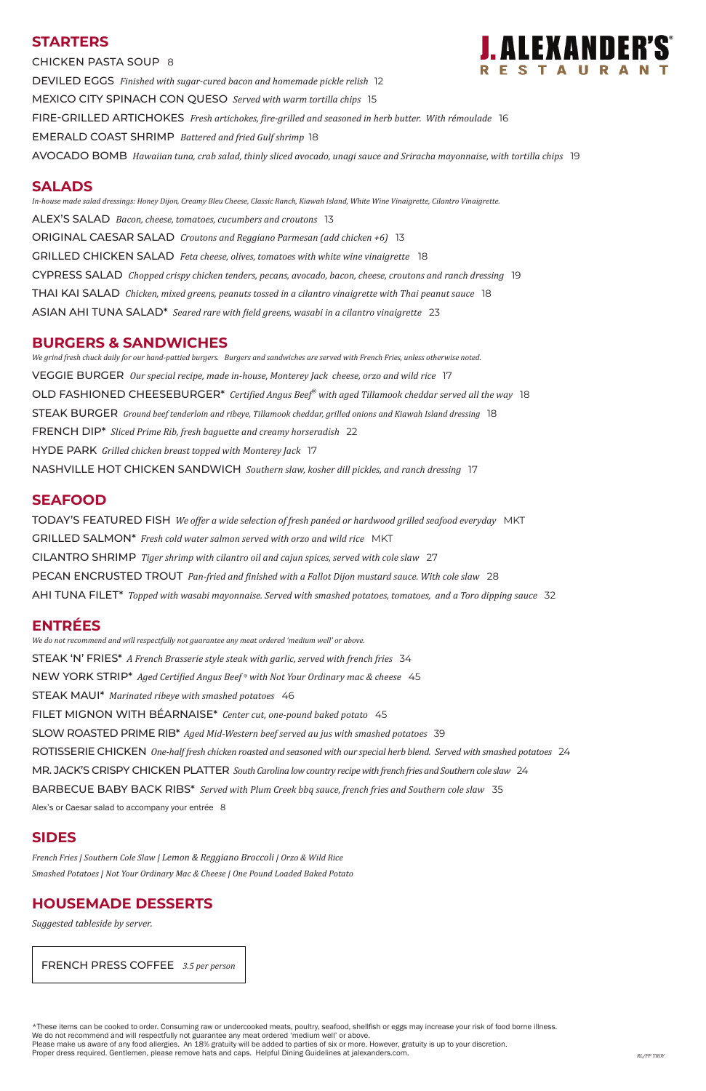## **STARTERS**

CHICKEN PASTA SOUP 8 DEVILED EGGS *Finished with sugar-cured bacon and homemade pickle relish* 12 MEXICO CITY SPINACH CON QUESO *Served with warm tortilla chips* 15 FIRE-GRILLED ARTICHOKES *Fresh artichokes, fire-grilled and seasoned in herb butter. With rémoulade* 16 EMERALD COAST SHRIMP *Battered and fried Gulf shrimp* 18 AVOCADO BOMB *Hawaiian tuna, crab salad, thinly sliced avocado, unagi sauce and Sriracha mayonnaise, with tortilla chips* 19

## **SALADS**

*In-house made salad dressings: Honey Dijon, Creamy Bleu Cheese, Classic Ranch, Kiawah Island, White Wine Vinaigrette, Cilantro Vinaigrette.* ALEX'S SALAD *Bacon, cheese, tomatoes, cucumbers and croutons* 13 ORIGINAL CAESAR SALAD *Croutons and Reggiano Parmesan (add chicken +6)* 13 GRILLED CHICKEN SALAD *Feta cheese, olives, tomatoes with white wine vinaigrette* 18 CYPRESS SALAD *Chopped crispy chicken tenders, pecans, avocado, bacon, cheese, croutons and ranch dressing* 19 THAI KAI SALAD *Chicken, mixed greens, peanuts tossed in a cilantro vinaigrette with Thai peanut sauce* 18 ASIAN AHI TUNA SALAD\* *Seared rare with field greens, wasabi in a cilantro vinaigrette* 23

# **BURGERS & SANDWICHES**

*We grind fresh chuck daily for our hand-pattied burgers. Burgers and sandwiches are served with French Fries, unless otherwise noted.* VEGGIE BURGER *Our special recipe, made in-house, Monterey Jack cheese, orzo and wild rice* 17 OLD FASHIONED CHEESEBURGER\* *Certified Angus Beef® with aged Tillamook cheddar served all the way* 18 STEAK BURGER *Ground beef tenderloin and ribeye, Tillamook cheddar, grilled onions and Kiawah Island dressing* 18 FRENCH DIP\* *Sliced Prime Rib, fresh baguette and creamy horseradish* 22 HYDE PARK *Grilled chicken breast topped with Monterey Jack* 17 NASHVILLE HOT CHICKEN SANDWICH *Southern slaw, kosher dill pickles, and ranch dressing* 17

\*These items can be cooked to order. Consuming raw or undercooked meats, poultry, seafood, shellfish or eggs may increase your risk of food borne illness. We do not recommend and will respectfully not guarantee any meat ordered 'medium well' or above. Please make us aware of any food allergies. An 18% gratuity will be added to parties of six or more. However, gratuity is up to your discretion. Proper dress required. Gentlemen, please remove hats and caps. Helpful Dining Guidelines at jalexanders.com. *RL/PP TROY* **RU/PP TROY** 

# **SEAFOOD**

TODAY'S FEATURED FISH *We offer a wide selection of fresh panéed or hardwood grilled seafood everyday* MKT GRILLED SALMON\* *Fresh cold water salmon served with orzo and wild rice* MKT CILANTRO SHRIMP *Tiger shrimp with cilantro oil and cajun spices, served with cole slaw* 27 PECAN ENCRUSTED TROUT *Pan-fried and finished with a Fallot Dijon mustard sauce. With cole slaw* 28 AHI TUNA FILET\* *Topped with wasabi mayonnaise. Served with smashed potatoes, tomatoes, and a Toro dipping sauce* 32

# **ENTRÉES**

*We do not recommend and will respectfully not guarantee any meat ordered 'medium well' or above.* STEAK 'N' FRIES\* *A French Brasserie style steak with garlic, served with french fries* 34 NEW YORK STRIP\* *Aged Certified Angus Beef ® with Not Your Ordinary mac & cheese* 45 STEAK MAUI\* *Marinated ribeye with smashed potatoes* 46 FILET MIGNON WITH BÉARNAISE\* *Center cut, one-pound baked potato* 45 SLOW ROASTED PRIME RIB\* *Aged Mid-Western beef served au jus with smashed potatoes* 39 ROTISSERIE CHICKEN *One-half fresh chicken roasted and seasoned with our special herb blend. Served with smashed potatoes* 24 MR. JACK'S CRISPY CHICKEN PLATTER *South Carolina low country recipe with french fries and Southern cole slaw* 24 BARBECUE BABY BACK RIBS\* *Served with Plum Creek bbq sauce, french fries and Southern cole slaw* 35



Alex's or Caesar salad to accompany your entrée 8

## **SIDES**

*French Fries | Southern Cole Slaw | Lemon & Reggiano Broccoli | Orzo & Wild Rice Smashed Potatoes | Not Your Ordinary Mac & Cheese | One Pound Loaded Baked Potato* 

## **HOUSEMADE DESSERTS**

*Suggested tableside by server.* 

FRENCH PRESS COFFEE *3.5 per person*